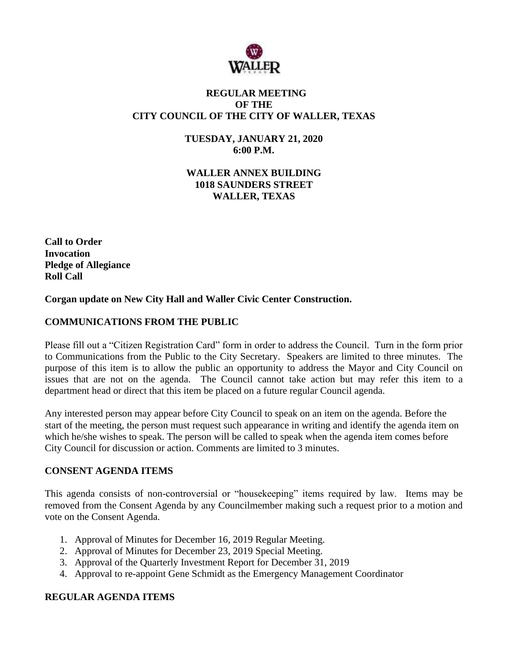

### **REGULAR MEETING OF THE CITY COUNCIL OF THE CITY OF WALLER, TEXAS**

**TUESDAY, JANUARY 21, 2020 6:00 P.M.**

**WALLER ANNEX BUILDING 1018 SAUNDERS STREET WALLER, TEXAS**

**Call to Order Invocation Pledge of Allegiance Roll Call**

**Corgan update on New City Hall and Waller Civic Center Construction.**

## **COMMUNICATIONS FROM THE PUBLIC**

Please fill out a "Citizen Registration Card" form in order to address the Council. Turn in the form prior to Communications from the Public to the City Secretary. Speakers are limited to three minutes. The purpose of this item is to allow the public an opportunity to address the Mayor and City Council on issues that are not on the agenda. The Council cannot take action but may refer this item to a department head or direct that this item be placed on a future regular Council agenda.

Any interested person may appear before City Council to speak on an item on the agenda. Before the start of the meeting, the person must request such appearance in writing and identify the agenda item on which he/she wishes to speak. The person will be called to speak when the agenda item comes before City Council for discussion or action. Comments are limited to 3 minutes.

### **CONSENT AGENDA ITEMS**

This agenda consists of non-controversial or "housekeeping" items required by law. Items may be removed from the Consent Agenda by any Councilmember making such a request prior to a motion and vote on the Consent Agenda.

- 1. Approval of Minutes for December 16, 2019 Regular Meeting.
- 2. Approval of Minutes for December 23, 2019 Special Meeting.
- 3. Approval of the Quarterly Investment Report for December 31, 2019
- 4. Approval to re-appoint Gene Schmidt as the Emergency Management Coordinator

# **REGULAR AGENDA ITEMS**